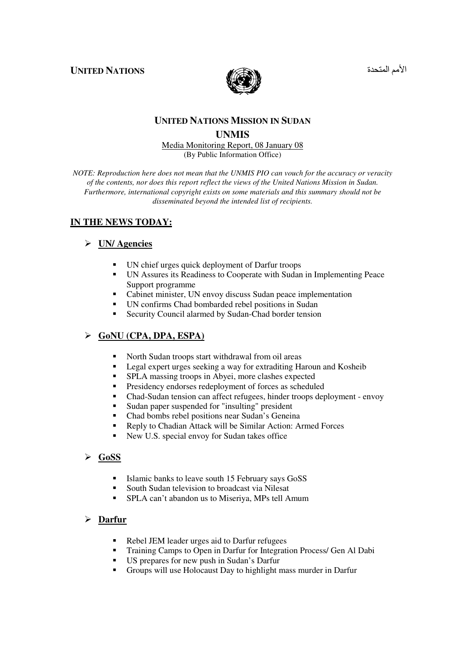**UNITED NATIONS** 



الأمم المتحد

# **UNITED NATIONS MISSION IN SUDAN**

## **UNMIS**

Media Monitoring Report, 08 January 08 (By Public Information Office)

*NOTE: Reproduction here does not mean that the UNMIS PIO can vouch for the accuracy or veracity of the contents, nor does this report reflect the views of the United Nations Mission in Sudan. Furthermore, international copyright exists on some materials and this summary should not be disseminated beyond the intended list of recipients.* 

# **IN THE NEWS TODAY:**

# **UN/ Agencies**

- UN chief urges quick deployment of Darfur troops
- UN Assures its Readiness to Cooperate with Sudan in Implementing Peace Support programme
- Cabinet minister, UN envoy discuss Sudan peace implementation
- UN confirms Chad bombarded rebel positions in Sudan
- -Security Council alarmed by Sudan-Chad border tension

# **GoNU (CPA, DPA, ESPA)**

- -North Sudan troops start withdrawal from oil areas
- -Legal expert urges seeking a way for extraditing Haroun and Kosheib
- -SPLA massing troops in Abyei, more clashes expected
- -Presidency endorses redeployment of forces as scheduled
- Chad-Sudan tension can affect refugees, hinder troops deployment envoy
- -Sudan paper suspended for "insulting" president
- -Chad bombs rebel positions near Sudan's Geneina
- -Reply to Chadian Attack will be Similar Action: Armed Forces
- -New U.S. special envoy for Sudan takes office

# **GoSS**

- -Islamic banks to leave south 15 February says GoSS
- -South Sudan television to broadcast via Nilesat
- **FCC** SPLA can't abandon us to Miseriya, MPs tell Amum

## **Darfur**

- Rebel JEM leader urges aid to Darfur refugees
- -Training Camps to Open in Darfur for Integration Process/ Gen Al Dabi
- US prepares for new push in Sudan's Darfur
- Groups will use Holocaust Day to highlight mass murder in Darfur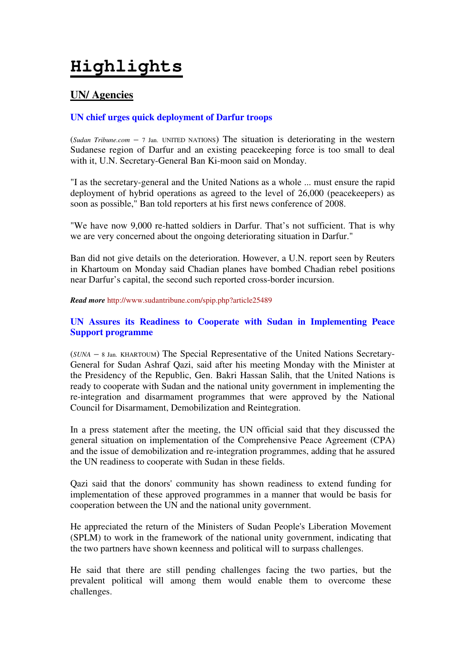# **Highlights**

# **UN/ Agencies**

# **UN chief urges quick deployment of Darfur troops**

(*Sudan Tribune.com* – 7 Jan. UNITED NATIONS) The situation is deteriorating in the western Sudanese region of Darfur and an existing peacekeeping force is too small to deal with it, U.N. Secretary-General Ban Ki-moon said on Monday.

"I as the secretary-general and the United Nations as a whole ... must ensure the rapid deployment of hybrid operations as agreed to the level of 26,000 (peacekeepers) as soon as possible," Ban told reporters at his first news conference of 2008.

"We have now 9,000 re-hatted soldiers in Darfur. That's not sufficient. That is why we are very concerned about the ongoing deteriorating situation in Darfur."

Ban did not give details on the deterioration. However, a U.N. report seen by Reuters in Khartoum on Monday said Chadian planes have bombed Chadian rebel positions near Darfur's capital, the second such reported cross-border incursion.

*Read more* http://www.sudantribune.com/spip.php?article25489

# **UN Assures its Readiness to Cooperate with Sudan in Implementing Peace Support programme**

(*SUNA* – 8 Jan. KHARTOUM) The Special Representative of the United Nations Secretary-General for Sudan Ashraf Qazi, said after his meeting Monday with the Minister at the Presidency of the Republic, Gen. Bakri Hassan Salih, that the United Nations is ready to cooperate with Sudan and the national unity government in implementing the re-integration and disarmament programmes that were approved by the National Council for Disarmament, Demobilization and Reintegration.

In a press statement after the meeting, the UN official said that they discussed the general situation on implementation of the Comprehensive Peace Agreement (CPA) and the issue of demobilization and re-integration programmes, adding that he assured the UN readiness to cooperate with Sudan in these fields.

Qazi said that the donors' community has shown readiness to extend funding for implementation of these approved programmes in a manner that would be basis for cooperation between the UN and the national unity government.

He appreciated the return of the Ministers of Sudan People's Liberation Movement (SPLM) to work in the framework of the national unity government, indicating that the two partners have shown keenness and political will to surpass challenges.

He said that there are still pending challenges facing the two parties, but the prevalent political will among them would enable them to overcome these challenges.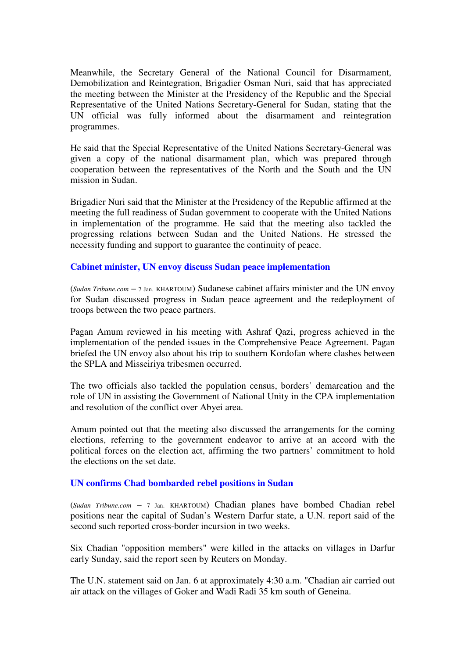Meanwhile, the Secretary General of the National Council for Disarmament, Demobilization and Reintegration, Brigadier Osman Nuri, said that has appreciated the meeting between the Minister at the Presidency of the Republic and the Special Representative of the United Nations Secretary-General for Sudan, stating that the UN official was fully informed about the disarmament and reintegration programmes.

He said that the Special Representative of the United Nations Secretary-General was given a copy of the national disarmament plan, which was prepared through cooperation between the representatives of the North and the South and the UN mission in Sudan.

Brigadier Nuri said that the Minister at the Presidency of the Republic affirmed at the meeting the full readiness of Sudan government to cooperate with the United Nations in implementation of the programme. He said that the meeting also tackled the progressing relations between Sudan and the United Nations. He stressed the necessity funding and support to guarantee the continuity of peace.

#### **Cabinet minister, UN envoy discuss Sudan peace implementation**

(*Sudan Tribune.com* – 7 Jan. KHARTOUM) Sudanese cabinet affairs minister and the UN envoy for Sudan discussed progress in Sudan peace agreement and the redeployment of troops between the two peace partners.

Pagan Amum reviewed in his meeting with Ashraf Qazi, progress achieved in the implementation of the pended issues in the Comprehensive Peace Agreement. Pagan briefed the UN envoy also about his trip to southern Kordofan where clashes between the SPLA and Misseiriya tribesmen occurred.

The two officials also tackled the population census, borders' demarcation and the role of UN in assisting the Government of National Unity in the CPA implementation and resolution of the conflict over Abyei area.

Amum pointed out that the meeting also discussed the arrangements for the coming elections, referring to the government endeavor to arrive at an accord with the political forces on the election act, affirming the two partners' commitment to hold the elections on the set date.

#### **UN confirms Chad bombarded rebel positions in Sudan**

(*Sudan Tribune.com* – 7 Jan. KHARTOUM) Chadian planes have bombed Chadian rebel positions near the capital of Sudan's Western Darfur state, a U.N. report said of the second such reported cross-border incursion in two weeks.

Six Chadian "opposition members" were killed in the attacks on villages in Darfur early Sunday, said the report seen by Reuters on Monday.

The U.N. statement said on Jan. 6 at approximately 4:30 a.m. "Chadian air carried out air attack on the villages of Goker and Wadi Radi 35 km south of Geneina.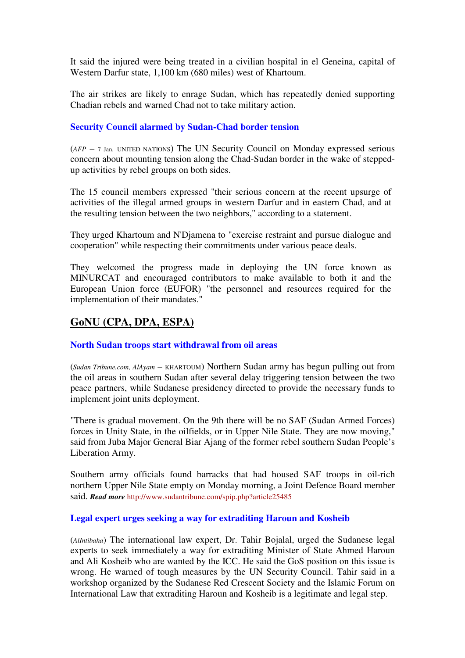It said the injured were being treated in a civilian hospital in el Geneina, capital of Western Darfur state, 1,100 km (680 miles) west of Khartoum.

The air strikes are likely to enrage Sudan, which has repeatedly denied supporting Chadian rebels and warned Chad not to take military action.

# **Security Council alarmed by Sudan-Chad border tension**

(*AFP* – 7 Jan. UNITED NATIONS) The UN Security Council on Monday expressed serious concern about mounting tension along the Chad-Sudan border in the wake of steppedup activities by rebel groups on both sides.

The 15 council members expressed "their serious concern at the recent upsurge of activities of the illegal armed groups in western Darfur and in eastern Chad, and at the resulting tension between the two neighbors," according to a statement.

They urged Khartoum and N'Djamena to "exercise restraint and pursue dialogue and cooperation" while respecting their commitments under various peace deals.

They welcomed the progress made in deploying the UN force known as MINURCAT and encouraged contributors to make available to both it and the European Union force (EUFOR) "the personnel and resources required for the implementation of their mandates."

# **GoNU (CPA, DPA, ESPA)**

## **North Sudan troops start withdrawal from oil areas**

(*Sudan Tribune.com, AlAyam* – KHARTOUM) Northern Sudan army has begun pulling out from the oil areas in southern Sudan after several delay triggering tension between the two peace partners, while Sudanese presidency directed to provide the necessary funds to implement joint units deployment.

"There is gradual movement. On the 9th there will be no SAF (Sudan Armed Forces) forces in Unity State, in the oilfields, or in Upper Nile State. They are now moving," said from Juba Major General Biar Ajang of the former rebel southern Sudan People's Liberation Army.

Southern army officials found barracks that had housed SAF troops in oil-rich northern Upper Nile State empty on Monday morning, a Joint Defence Board member said. *Read more* http://www.sudantribune.com/spip.php?article25485

## **Legal expert urges seeking a way for extraditing Haroun and Kosheib**

(*AlIntibaha*) The international law expert, Dr. Tahir Bojalal, urged the Sudanese legal experts to seek immediately a way for extraditing Minister of State Ahmed Haroun and Ali Kosheib who are wanted by the ICC. He said the GoS position on this issue is wrong. He warned of tough measures by the UN Security Council. Tahir said in a workshop organized by the Sudanese Red Crescent Society and the Islamic Forum on International Law that extraditing Haroun and Kosheib is a legitimate and legal step.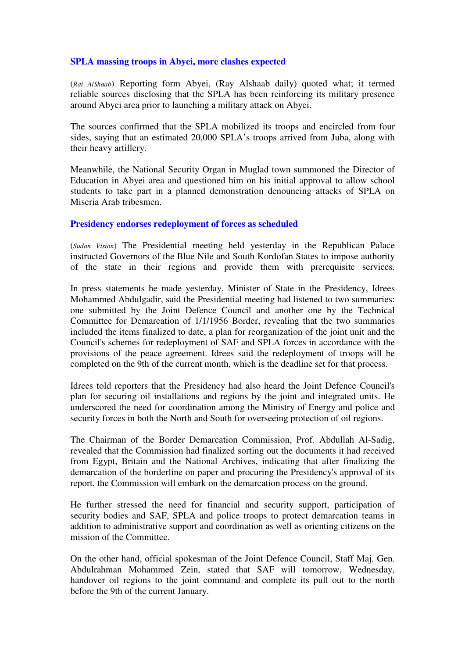## **SPLA massing troops in Abyei, more clashes expected**

(*Rai AlShaab*) Reporting form Abyei, (Ray Alshaab daily) quoted what; it termed reliable sources disclosing that the SPLA has been reinforcing its military presence around Abyei area prior to launching a military attack on Abyei.

The sources confirmed that the SPLA mobilized its troops and encircled from four sides, saying that an estimated 20,000 SPLA's troops arrived from Juba, along with their heavy artillery.

Meanwhile, the National Security Organ in Muglad town summoned the Director of Education in Abyei area and questioned him on his initial approval to allow school students to take part in a planned demonstration denouncing attacks of SPLA on Miseria Arab tribesmen.

# **Presidency endorses redeployment of forces as scheduled**

(*Sudan Vision*) The Presidential meeting held yesterday in the Republican Palace instructed Governors of the Blue Nile and South Kordofan States to impose authority of the state in their regions and provide them with prerequisite services.

In press statements he made yesterday, Minister of State in the Presidency, Idrees Mohammed Abdulgadir, said the Presidential meeting had listened to two summaries: one submitted by the Joint Defence Council and another one by the Technical Committee for Demarcation of 1/1/1956 Border, revealing that the two summaries included the items finalized to date, a plan for reorganization of the joint unit and the Council's schemes for redeployment of SAF and SPLA forces in accordance with the provisions of the peace agreement. Idrees said the redeployment of troops will be completed on the 9th of the current month, which is the deadline set for that process.

Idrees told reporters that the Presidency had also heard the Joint Defence Council's plan for securing oil installations and regions by the joint and integrated units. He underscored the need for coordination among the Ministry of Energy and police and security forces in both the North and South for overseeing protection of oil regions.

The Chairman of the Border Demarcation Commission, Prof. Abdullah Al-Sadig, revealed that the Commission had finalized sorting out the documents it had received from Egypt, Britain and the National Archives, indicating that after finalizing the demarcation of the borderline on paper and procuring the Presidency's approval of its report, the Commission will embark on the demarcation process on the ground.

He further stressed the need for financial and security support, participation of security bodies and SAF, SPLA and police troops to protect demarcation teams in addition to administrative support and coordination as well as orienting citizens on the mission of the Committee.

On the other hand, official spokesman of the Joint Defence Council, Staff Maj. Gen. Abdulrahman Mohammed Zein, stated that SAF will tomorrow, Wednesday, handover oil regions to the joint command and complete its pull out to the north before the 9th of the current January.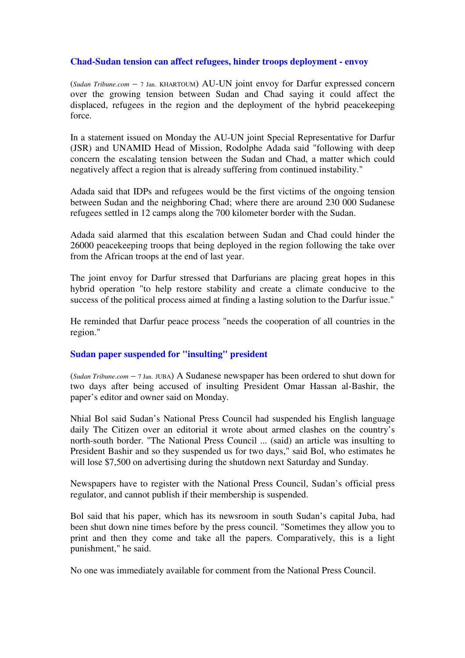## **Chad-Sudan tension can affect refugees, hinder troops deployment - envoy**

(*Sudan Tribune.com* – 7 Jan. KHARTOUM) AU-UN joint envoy for Darfur expressed concern over the growing tension between Sudan and Chad saying it could affect the displaced, refugees in the region and the deployment of the hybrid peacekeeping force.

In a statement issued on Monday the AU-UN joint Special Representative for Darfur (JSR) and UNAMID Head of Mission, Rodolphe Adada said "following with deep concern the escalating tension between the Sudan and Chad, a matter which could negatively affect a region that is already suffering from continued instability."

Adada said that IDPs and refugees would be the first victims of the ongoing tension between Sudan and the neighboring Chad; where there are around 230 000 Sudanese refugees settled in 12 camps along the 700 kilometer border with the Sudan.

Adada said alarmed that this escalation between Sudan and Chad could hinder the 26000 peacekeeping troops that being deployed in the region following the take over from the African troops at the end of last year.

The joint envoy for Darfur stressed that Darfurians are placing great hopes in this hybrid operation "to help restore stability and create a climate conducive to the success of the political process aimed at finding a lasting solution to the Darfur issue."

He reminded that Darfur peace process "needs the cooperation of all countries in the region."

## **Sudan paper suspended for "insulting" president**

(*Sudan Tribune.com* – 7 Jan. JUBA) A Sudanese newspaper has been ordered to shut down for two days after being accused of insulting President Omar Hassan al-Bashir, the paper's editor and owner said on Monday.

Nhial Bol said Sudan's National Press Council had suspended his English language daily The Citizen over an editorial it wrote about armed clashes on the country's north-south border. "The National Press Council ... (said) an article was insulting to President Bashir and so they suspended us for two days," said Bol, who estimates he will lose \$7,500 on advertising during the shutdown next Saturday and Sunday.

Newspapers have to register with the National Press Council, Sudan's official press regulator, and cannot publish if their membership is suspended.

Bol said that his paper, which has its newsroom in south Sudan's capital Juba, had been shut down nine times before by the press council. "Sometimes they allow you to print and then they come and take all the papers. Comparatively, this is a light punishment," he said.

No one was immediately available for comment from the National Press Council.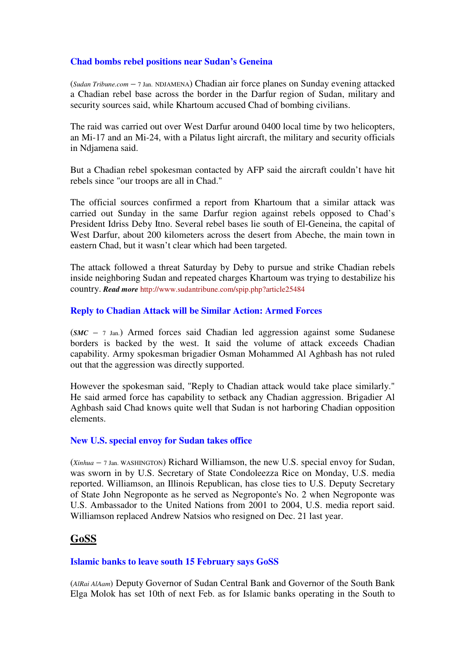# **Chad bombs rebel positions near Sudan's Geneina**

(*Sudan Tribune.com* – 7 Jan. NDJAMENA) Chadian air force planes on Sunday evening attacked a Chadian rebel base across the border in the Darfur region of Sudan, military and security sources said, while Khartoum accused Chad of bombing civilians.

The raid was carried out over West Darfur around 0400 local time by two helicopters, an Mi-17 and an Mi-24, with a Pilatus light aircraft, the military and security officials in Ndjamena said.

But a Chadian rebel spokesman contacted by AFP said the aircraft couldn't have hit rebels since "our troops are all in Chad."

The official sources confirmed a report from Khartoum that a similar attack was carried out Sunday in the same Darfur region against rebels opposed to Chad's President Idriss Deby Itno. Several rebel bases lie south of El-Geneina, the capital of West Darfur, about 200 kilometers across the desert from Abeche, the main town in eastern Chad, but it wasn't clear which had been targeted.

The attack followed a threat Saturday by Deby to pursue and strike Chadian rebels inside neighboring Sudan and repeated charges Khartoum was trying to destabilize his country. *Read more* http://www.sudantribune.com/spip.php?article25484

# **Reply to Chadian Attack will be Similar Action: Armed Forces**

(*SMC* – 7 Jan.) Armed forces said Chadian led aggression against some Sudanese borders is backed by the west. It said the volume of attack exceeds Chadian capability. Army spokesman brigadier Osman Mohammed Al Aghbash has not ruled out that the aggression was directly supported.

However the spokesman said, "Reply to Chadian attack would take place similarly." He said armed force has capability to setback any Chadian aggression. Brigadier Al Aghbash said Chad knows quite well that Sudan is not harboring Chadian opposition elements.

## **New U.S. special envoy for Sudan takes office**

(*Xinhua* – 7 Jan. WASHINGTON) Richard Williamson, the new U.S. special envoy for Sudan, was sworn in by U.S. Secretary of State Condoleezza Rice on Monday, U.S. media reported. Williamson, an Illinois Republican, has close ties to U.S. Deputy Secretary of State John Negroponte as he served as Negroponte's No. 2 when Negroponte was U.S. Ambassador to the United Nations from 2001 to 2004, U.S. media report said. Williamson replaced Andrew Natsios who resigned on Dec. 21 last year.

# **GoSS**

## **Islamic banks to leave south 15 February says GoSS**

(*AlRai AlAam*) Deputy Governor of Sudan Central Bank and Governor of the South Bank Elga Molok has set 10th of next Feb. as for Islamic banks operating in the South to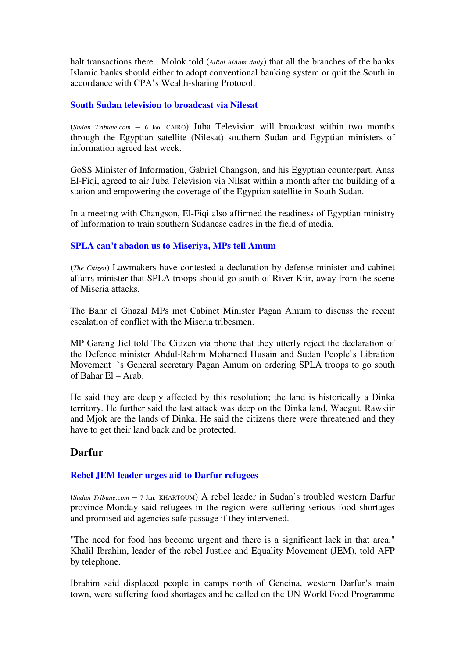halt transactions there. Molok told (*AlRai AlAam daily*) that all the branches of the banks Islamic banks should either to adopt conventional banking system or quit the South in accordance with CPA's Wealth-sharing Protocol.

# **South Sudan television to broadcast via Nilesat**

(*Sudan Tribune.com* – 6 Jan. CAIRO) Juba Television will broadcast within two months through the Egyptian satellite (Nilesat) southern Sudan and Egyptian ministers of information agreed last week.

GoSS Minister of Information, Gabriel Changson, and his Egyptian counterpart, Anas El-Fiqi, agreed to air Juba Television via Nilsat within a month after the building of a station and empowering the coverage of the Egyptian satellite in South Sudan.

In a meeting with Changson, El-Fiqi also affirmed the readiness of Egyptian ministry of Information to train southern Sudanese cadres in the field of media.

# **SPLA can't abadon us to Miseriya, MPs tell Amum**

(*The Citizen*) Lawmakers have contested a declaration by defense minister and cabinet affairs minister that SPLA troops should go south of River Kiir, away from the scene of Miseria attacks.

The Bahr el Ghazal MPs met Cabinet Minister Pagan Amum to discuss the recent escalation of conflict with the Miseria tribesmen.

MP Garang Jiel told The Citizen via phone that they utterly reject the declaration of the Defence minister Abdul-Rahim Mohamed Husain and Sudan People`s Libration Movement `s General secretary Pagan Amum on ordering SPLA troops to go south of Bahar El – Arab.

He said they are deeply affected by this resolution; the land is historically a Dinka territory. He further said the last attack was deep on the Dinka land, Waegut, Rawkiir and Mjok are the lands of Dinka. He said the citizens there were threatened and they have to get their land back and be protected.

# **Darfur**

## **Rebel JEM leader urges aid to Darfur refugees**

(*Sudan Tribune.com* – 7 Jan. KHARTOUM) A rebel leader in Sudan's troubled western Darfur province Monday said refugees in the region were suffering serious food shortages and promised aid agencies safe passage if they intervened.

"The need for food has become urgent and there is a significant lack in that area," Khalil Ibrahim, leader of the rebel Justice and Equality Movement (JEM), told AFP by telephone.

Ibrahim said displaced people in camps north of Geneina, western Darfur's main town, were suffering food shortages and he called on the UN World Food Programme